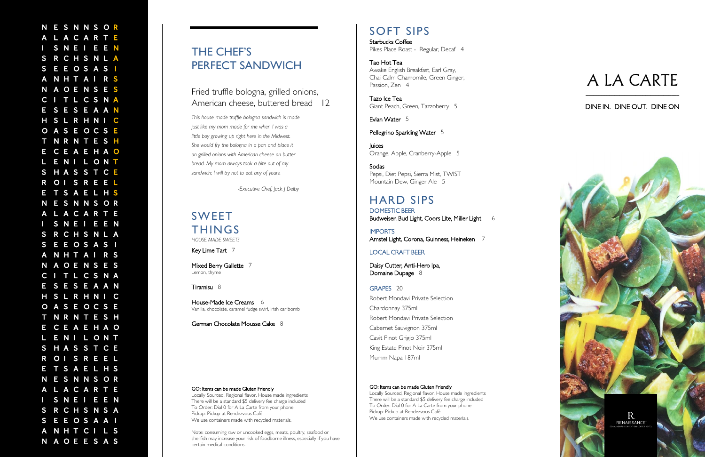**NESONASORE THE CHEF'S SAN ARE READY AND MORE TRANSPORT (AND MORE PROPERTY SAN ARE CHEF'S AND MORE PROPERTY AND A CONSUMER A READY AND A SAN ARE READY AND A SAN ARE READY AND MANUSCRIP (AND A REAL PROPERTY AND MORE PROPER** 

## THE CHEF'S PERFECT SANDWICH

*This house made truffle bologna sandwich is made just like my mom made for me when I was a little boy growing up right here in the Midwest. She would fry the bologna in a pan and place it on grilled onions with American cheese on butter bread. My mom always took a bite out of my sandwich; I will try not to eat any of yours. -Executive Chef, Jack J Delby*THE CHEF'S<br>
PERFECT SANDWICH<br>
Fried truthe bologna, grilled onions,<br>
American cheese, buttered bread 12<br>
Tabeus made subjecting scaled to a mode<br>
the long-point of the conditions and the conditions.<br>
Since the conditions o

## Fried truffle bologna, grilled onions, American cheese, buttered bread 12

Mixed Berry Gallette 7 Lemon, thyme

## SWEET THINGS *HOUSE MADE SWEETS*

Key Lime Tart 7

Tiramisu 8

Starbucks Coffee Pikes Place Roast - Regular, Decaf 4

#### Tao Hot Tea Awake English Breakfast, Earl Gray, Chai Calm Chamomile, Green Ginger, Passion, Zen 4

House -Made Ice Creams 6 Vanilla, chocolate, caramel fudge swirl, Irish car bomb

German Chocolate Mousse Cake 8

#### GO: Items can be made Gluten Friendly

IMPORTS Amstel Light, Corona, Guinness, Heineken 7

Daisy Cutter, Anti -Hero Ipa, Domaine Dupage 8

Locally Sourced, Regional flavor. House made ingredients There will be a standard \$5 delivery fee charge included To Order: Dial 0 for A La Carte from your phone Pickup: Pickup at Rendezvous Café We use containers made with recycled materials.

Note: consuming raw or uncooked eggs, meats, poultry, seafood or shellfish may increase your risk of foodborne illness, especially if you have

## SOFT SIPS

Tazo Ice Tea Giant Peach, Green, Tazzoberry 5

Evian Water 5

#### Pellegrino Sparkling Water 5

Juices Orange, Apple, Cranberry -Apple 5

**Sodas** Pepsi, Diet Pepsi, Sierra Mist, TWIST Mountain Dew, Ginger Ale 5

## HARD SIPS DOMESTIC BEER

Budweiser, Bud Light, Coors Lite, Miller Light 6

#### LOCAL CRAFT BEER

#### GRAPES 20

Robert Mondavi Private Selection Chardonnay 375ml Robert Mondavi Private Selection Cabernet Sauvignon 375ml Cavit Pinot Grigio 375ml King Estate Pinot Noir 375ml Mumm Napa 187ml

#### GO: Items can be made Gluten Friendly

Locally Sourced, Regional flavor. House made ingredients There will be a standard \$5 delivery fee charge included To Order: Dial 0 for A La Carte from your phone Pickup: Pickup at Rendezvous Café

## A LA CARTE \_\_\_\_\_\_\_\_\_\_\_\_\_\_\_\_\_\_\_\_\_\_\_\_\_\_\_\_\_\_\_\_\_\_\_\_

### DINE IN. DINE OUT. DINE ON